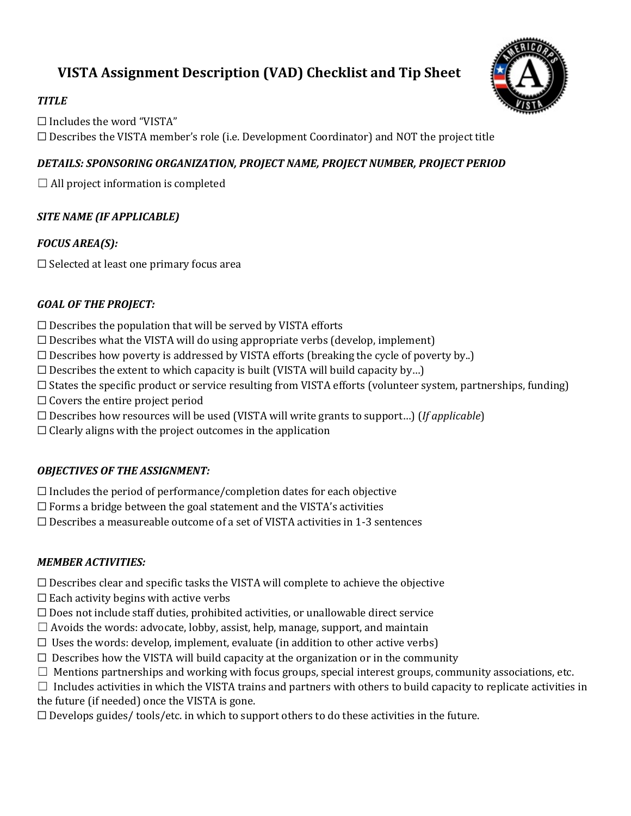# **VISTA Assignment Description (VAD) Checklist and Tip Sheet**



#### *TITLE*

☐ Includes the word "VISTA"  $\Box$  Describes the VISTA member's role (i.e. Development Coordinator) and NOT the project title

# *DETAILS: SPONSORING ORGANIZATION, PROJECT NAME, PROJECT NUMBER, PROJECT PERIOD*

 $\Box$  All project information is completed

# *SITE NAME (IF APPLICABLE)*

# *FOCUS AREA(S):*

☐ Selected at least one primary focus area

#### *GOAL OF THE PROJECT:*

- $\Box$  Describes the population that will be served by VISTA efforts
- $\Box$  Describes what the VISTA will do using appropriate verbs (develop, implement)
- $\Box$  Describes how poverty is addressed by VISTA efforts (breaking the cycle of poverty by...)
- $\Box$  Describes the extent to which capacity is built (VISTA will build capacity by...)
- ☐ States the specific product or service resulting from VISTA efforts (volunteer system, partnerships, funding)
- $\Box$  Covers the entire project period
- ☐ Describes how resources will be used (VISTA will write grants to support…) (*If applicable*)
- $\Box$  Clearly aligns with the project outcomes in the application

# *OBJECTIVES OF THE ASSIGNMENT:*

 $\Box$  Includes the period of performance/completion dates for each objective

- $\Box$  Forms a bridge between the goal statement and the VISTA's activities
- $\Box$  Describes a measureable outcome of a set of VISTA activities in 1-3 sentences

# *MEMBER ACTIVITIES:*

- $\Box$  Describes clear and specific tasks the VISTA will complete to achieve the objective
- $\Box$  Each activity begins with active verbs
- $\Box$  Does not include staff duties, prohibited activities, or unallowable direct service
- $\Box$  Avoids the words: advocate, lobby, assist, help, manage, support, and maintain
- $\Box$  Uses the words: develop, implement, evaluate (in addition to other active verbs)
- $\Box$  Describes how the VISTA will build capacity at the organization or in the community
- $\Box$  Mentions partnerships and working with focus groups, special interest groups, community associations, etc.
- $\Box$  Includes activities in which the VISTA trains and partners with others to build capacity to replicate activities in

the future (if needed) once the VISTA is gone.

 $\Box$  Develops guides/ tools/etc. in which to support others to do these activities in the future.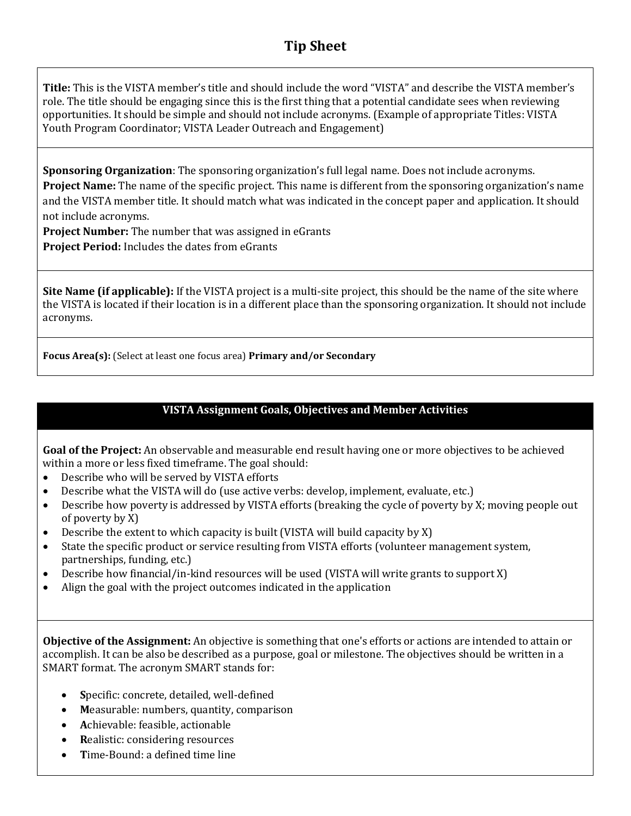# **Tip Sheet**

**Title:** This is the VISTA member's title and should include the word "VISTA" and describe the VISTA member's role. The title should be engaging since this is the first thing that a potential candidate sees when reviewing opportunities. It should be simple and should not include acronyms. (Example of appropriate Titles: VISTA Youth Program Coordinator; VISTA Leader Outreach and Engagement)

**Sponsoring Organization**: The sponsoring organization's full legal name. Does not include acronyms. **Project Name:** The name of the specific project. This name is different from the sponsoring organization's name and the VISTA member title. It should match what was indicated in the concept paper and application. It should not include acronyms.

**Project Number:** The number that was assigned in eGrants

**Project Period:** Includes the dates from eGrants

**Site Name (if applicable):** If the VISTA project is a multi-site project, this should be the name of the site where the VISTA is located if their location is in a different place than the sponsoring organization. It should not include acronyms.

**Focus Area(s):** (Select at least one focus area) **Primary and/or Secondary**

# **VISTA Assignment Goals, Objectives and Member Activities**

**Goal of the Project:** An observable and measurable end result having one or more objectives to be achieved within a more or less fixed timeframe. The goal should:

- Describe who will be served by VISTA efforts
- Describe what the VISTA will do (use active verbs: develop, implement, evaluate, etc.)
- Describe how poverty is addressed by VISTA efforts (breaking the cycle of poverty by X; moving people out of poverty by X)
- Describe the extent to which capacity is built (VISTA will build capacity by X)
- State the specific product or service resulting from VISTA efforts (volunteer management system, partnerships, funding, etc.)
- Describe how financial/in-kind resources will be used (VISTA will write grants to support X)
- Align the goal with the project outcomes indicated in the application

**Objective of the Assignment:** An objective is something that one's efforts or actions are intended to attain or accomplish. It can be also be described as a purpose, goal or milestone. The objectives should be written in a SMART format. The acronym SMART stands for:

- **S**pecific: concrete, detailed, well-defined
- **M**easurable: numbers, quantity, comparison
- **A**chievable: feasible, actionable
- **R**ealistic: considering resources
- **T**ime-Bound: a defined time line